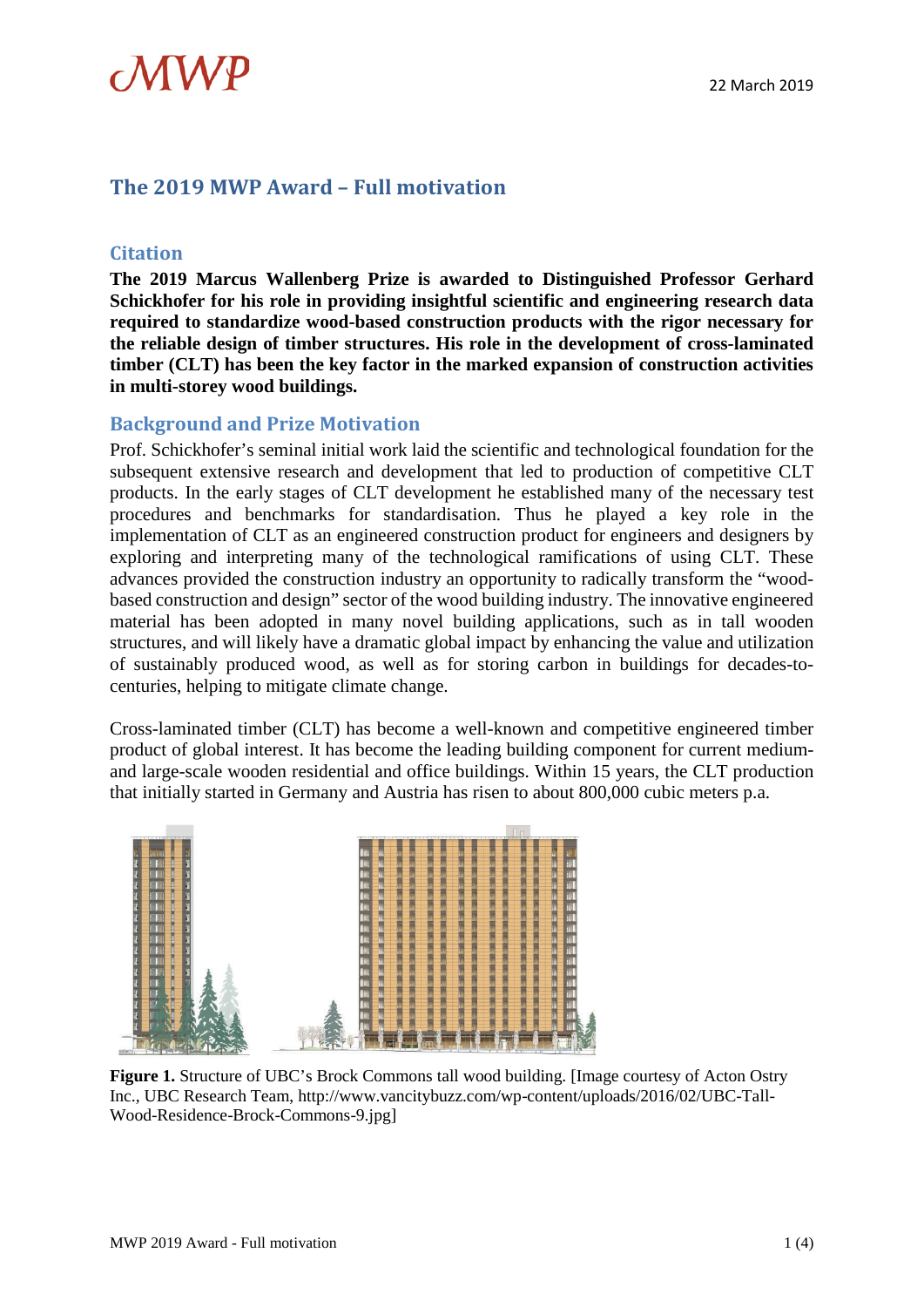

### **The 2019 MWP Award – Full motivation**

### **Citation**

**The 2019 Marcus Wallenberg Prize is awarded to Distinguished Professor Gerhard Schickhofer for his role in providing insightful scientific and engineering research data required to standardize wood-based construction products with the rigor necessary for the reliable design of timber structures. His role in the development of cross-laminated timber (CLT) has been the key factor in the marked expansion of construction activities in multi-storey wood buildings.**

### **Background and Prize Motivation**

Prof. Schickhofer's seminal initial work laid the scientific and technological foundation for the subsequent extensive research and development that led to production of competitive CLT products. In the early stages of CLT development he established many of the necessary test procedures and benchmarks for standardisation. Thus he played a key role in the implementation of CLT as an engineered construction product for engineers and designers by exploring and interpreting many of the technological ramifications of using CLT. These advances provided the construction industry an opportunity to radically transform the "woodbased construction and design" sector of the wood building industry. The innovative engineered material has been adopted in many novel building applications, such as in tall wooden structures, and will likely have a dramatic global impact by enhancing the value and utilization of sustainably produced wood, as well as for storing carbon in buildings for decades-tocenturies, helping to mitigate climate change.

Cross-laminated timber (CLT) has become a well-known and competitive engineered timber product of global interest. It has become the leading building component for current mediumand large-scale wooden residential and office buildings. Within 15 years, the CLT production that initially started in Germany and Austria has risen to about 800,000 cubic meters p.a.



**Figure 1.** Structure of UBC's Brock Commons tall wood building. [Image courtesy of Acton Ostry Inc., UBC Research Team, http://www.vancitybuzz.com/wp-content/uploads/2016/02/UBC-Tall-Wood-Residence-Brock-Commons-9.jpg]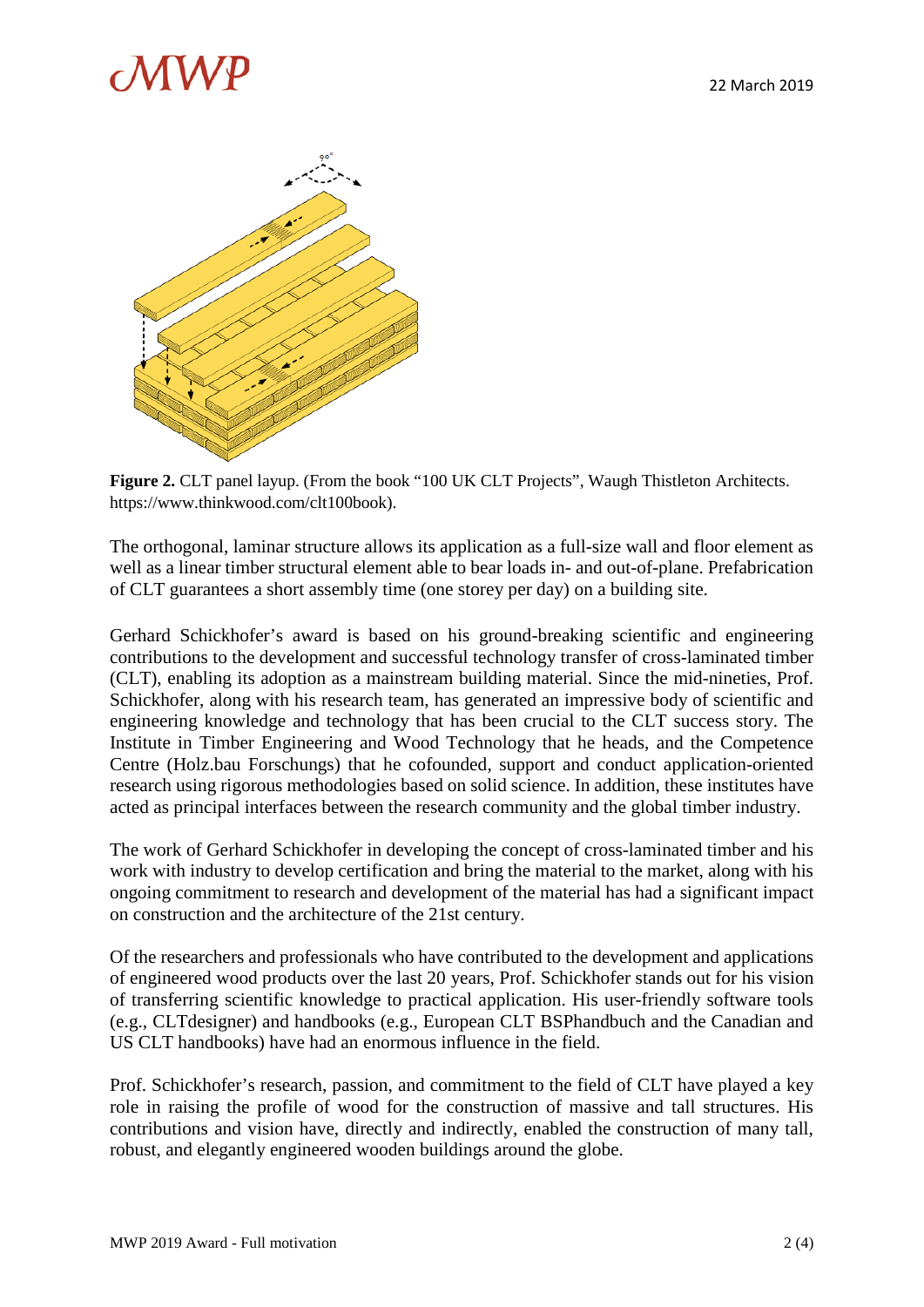# A W F



**Figure 2.** CLT panel layup. (From the book "100 UK CLT Projects", Waugh Thistleton Architects. https://www.thinkwood.com/clt100book).

The orthogonal, laminar structure allows its application as a full-size wall and floor element as well as a linear timber structural element able to bear loads in- and out-of-plane. Prefabrication of CLT guarantees a short assembly time (one storey per day) on a building site.

Gerhard Schickhofer's award is based on his ground-breaking scientific and engineering contributions to the development and successful technology transfer of cross-laminated timber (CLT), enabling its adoption as a mainstream building material. Since the mid-nineties, Prof. Schickhofer, along with his research team, has generated an impressive body of scientific and engineering knowledge and technology that has been crucial to the CLT success story. The Institute in Timber Engineering and Wood Technology that he heads, and the Competence Centre (Holz.bau Forschungs) that he cofounded, support and conduct application-oriented research using rigorous methodologies based on solid science. In addition, these institutes have acted as principal interfaces between the research community and the global timber industry.

The work of Gerhard Schickhofer in developing the concept of cross-laminated timber and his work with industry to develop certification and bring the material to the market, along with his ongoing commitment to research and development of the material has had a significant impact on construction and the architecture of the 21st century.

Of the researchers and professionals who have contributed to the development and applications of engineered wood products over the last 20 years, Prof. Schickhofer stands out for his vision of transferring scientific knowledge to practical application. His user-friendly software tools (e.g., CLTdesigner) and handbooks (e.g., European CLT BSPhandbuch and the Canadian and US CLT handbooks) have had an enormous influence in the field.

Prof. Schickhofer's research, passion, and commitment to the field of CLT have played a key role in raising the profile of wood for the construction of massive and tall structures. His contributions and vision have, directly and indirectly, enabled the construction of many tall, robust, and elegantly engineered wooden buildings around the globe.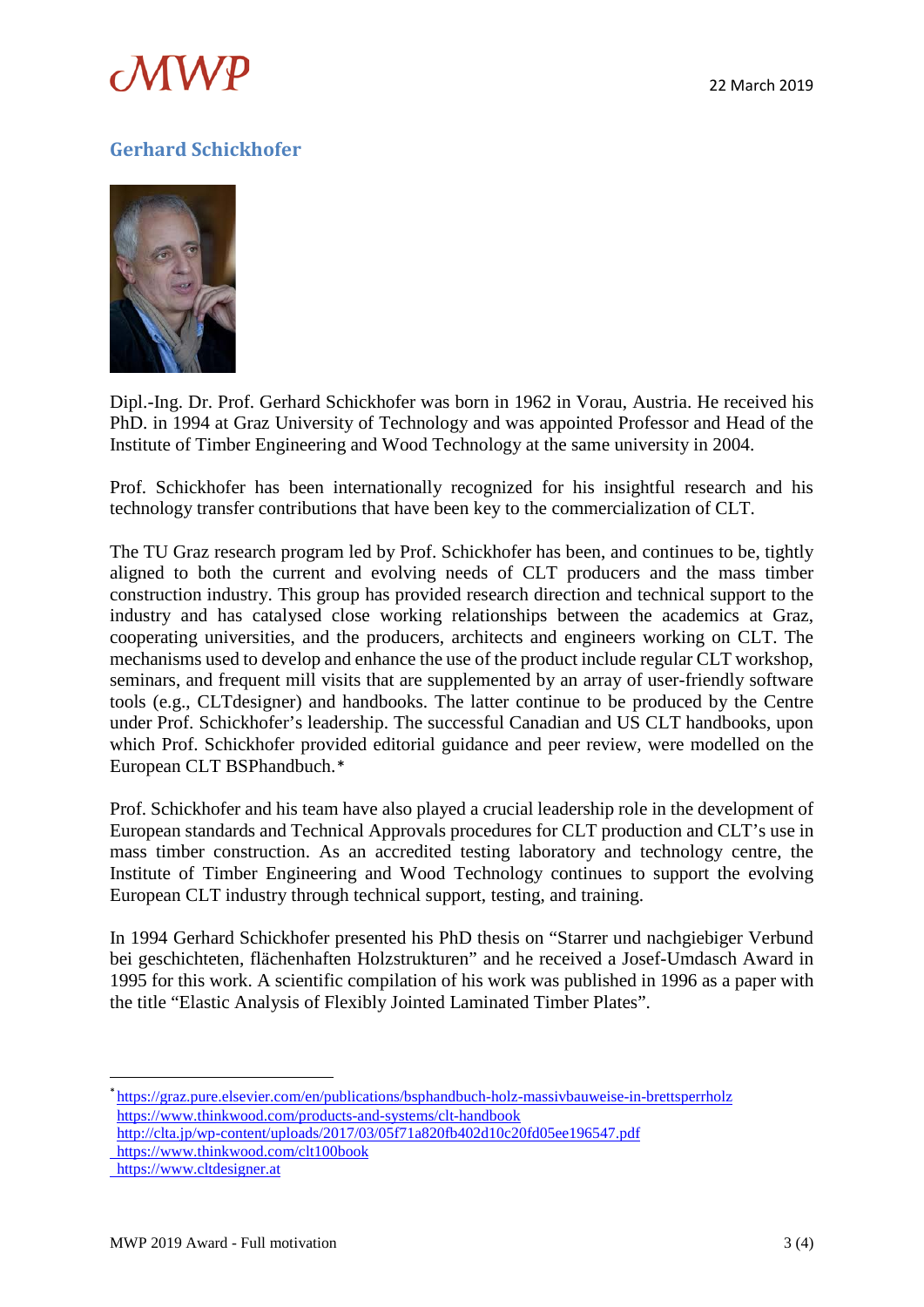

## **Gerhard Schickhofer**



Dipl.-Ing. Dr. Prof. Gerhard Schickhofer was born in 1962 in Vorau, Austria. He received his PhD. in 1994 at Graz University of Technology and was appointed Professor and Head of the Institute of Timber Engineering and Wood Technology at the same university in 2004.

Prof. Schickhofer has been internationally recognized for his insightful research and his technology transfer contributions that have been key to the commercialization of CLT.

The TU Graz research program led by Prof. Schickhofer has been, and continues to be, tightly aligned to both the current and evolving needs of CLT producers and the mass timber construction industry. This group has provided research direction and technical support to the industry and has catalysed close working relationships between the academics at Graz, cooperating universities, and the producers, architects and engineers working on CLT. The mechanisms used to develop and enhance the use of the product include regular CLT workshop, seminars, and frequent mill visits that are supplemented by an array of user-friendly software tools (e.g., CLTdesigner) and handbooks. The latter continue to be produced by the Centre under Prof. Schickhofer's leadership. The successful Canadian and US CLT handbooks, upon which Prof. Schickhofer provided editorial guidance and peer review, were modelled on the European CLT BSPhandbuch.[\\*](#page-2-0)

Prof. Schickhofer and his team have also played a crucial leadership role in the development of European standards and Technical Approvals procedures for CLT production and CLT's use in mass timber construction. As an accredited testing laboratory and technology centre, the Institute of Timber Engineering and Wood Technology continues to support the evolving European CLT industry through technical support, testing, and training.

In 1994 Gerhard Schickhofer presented his PhD thesis on "Starrer und nachgiebiger Verbund bei geschichteten, flächenhaften Holzstrukturen" and he received a Josef-Umdasch Award in 1995 for this work. A scientific compilation of his work was published in 1996 as a paper with the title "Elastic Analysis of Flexibly Jointed Laminated Timber Plates".

<span id="page-2-0"></span> <sup>\*</sup><https://graz.pure.elsevier.com/en/publications/bsphandbuch-holz-massivbauweise-in-brettsperrholz> <https://www.thinkwood.com/products-and-systems/clt-handbook>

<http://clta.jp/wp-content/uploads/2017/03/05f71a820fb402d10c20fd05ee196547.pdf>

https://www.thinkwood.com/clt100book

https://www.cltdesigner.at